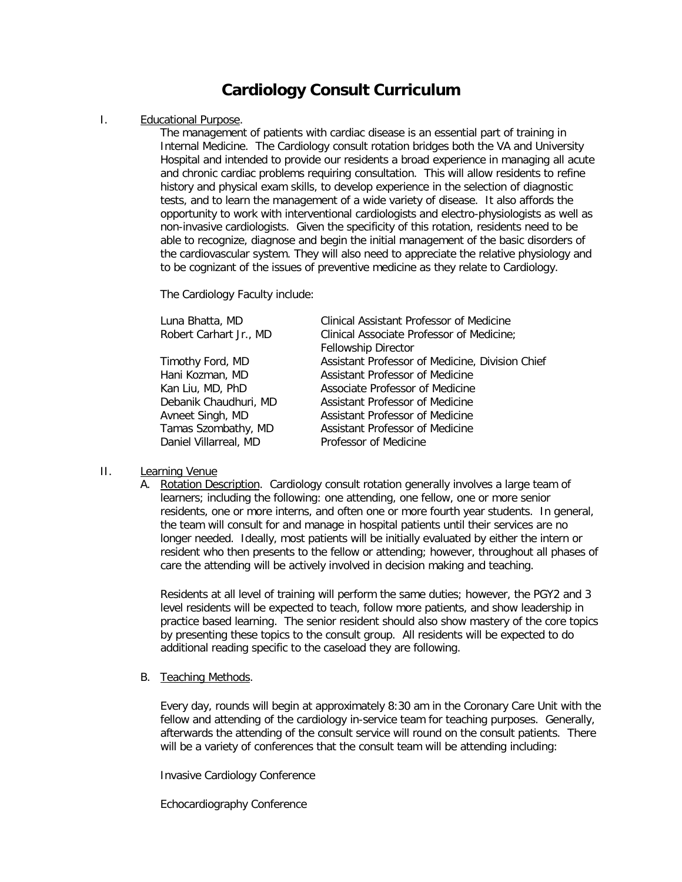## **Cardiology Consult Curriculum**

### I. Educational Purpose.

The management of patients with cardiac disease is an essential part of training in Internal Medicine. The Cardiology consult rotation bridges both the VA and University Hospital and intended to provide our residents a broad experience in managing all acute and chronic cardiac problems requiring consultation. This will allow residents to refine history and physical exam skills, to develop experience in the selection of diagnostic tests, and to learn the management of a wide variety of disease. It also affords the opportunity to work with interventional cardiologists and electro-physiologists as well as non-invasive cardiologists. Given the specificity of this rotation, residents need to be able to recognize, diagnose and begin the initial management of the basic disorders of the cardiovascular system. They will also need to appreciate the relative physiology and to be cognizant of the issues of preventive medicine as they relate to Cardiology.

The Cardiology Faculty include:

| Luna Bhatta, MD        | Clinical Assistant Professor of Medicine        |
|------------------------|-------------------------------------------------|
| Robert Carhart Jr., MD | Clinical Associate Professor of Medicine;       |
|                        | <b>Fellowship Director</b>                      |
| Timothy Ford, MD       | Assistant Professor of Medicine, Division Chief |
| Hani Kozman, MD        | Assistant Professor of Medicine                 |
| Kan Liu, MD, PhD       | Associate Professor of Medicine                 |
| Debanik Chaudhuri, MD  | Assistant Professor of Medicine                 |
| Avneet Singh, MD       | Assistant Professor of Medicine                 |
| Tamas Szombathy, MD    | Assistant Professor of Medicine                 |
| Daniel Villarreal, MD  | Professor of Medicine                           |

### II. Learning Venue

A. Rotation Description. Cardiology consult rotation generally involves a large team of learners; including the following: one attending, one fellow, one or more senior residents, one or more interns, and often one or more fourth year students. In general, the team will consult for and manage in hospital patients until their services are no longer needed. Ideally, most patients will be initially evaluated by either the intern or resident who then presents to the fellow or attending; however, throughout all phases of care the attending will be actively involved in decision making and teaching.

Residents at all level of training will perform the same duties; however, the PGY2 and 3 level residents will be expected to teach, follow more patients, and show leadership in practice based learning. The senior resident should also show mastery of the core topics by presenting these topics to the consult group. All residents will be expected to do additional reading specific to the caseload they are following.

### B. Teaching Methods.

Every day, rounds will begin at approximately 8:30 am in the Coronary Care Unit with the fellow and attending of the cardiology in-service team for teaching purposes. Generally, afterwards the attending of the consult service will round on the consult patients. There will be a variety of conferences that the consult team will be attending including:

Invasive Cardiology Conference

Echocardiography Conference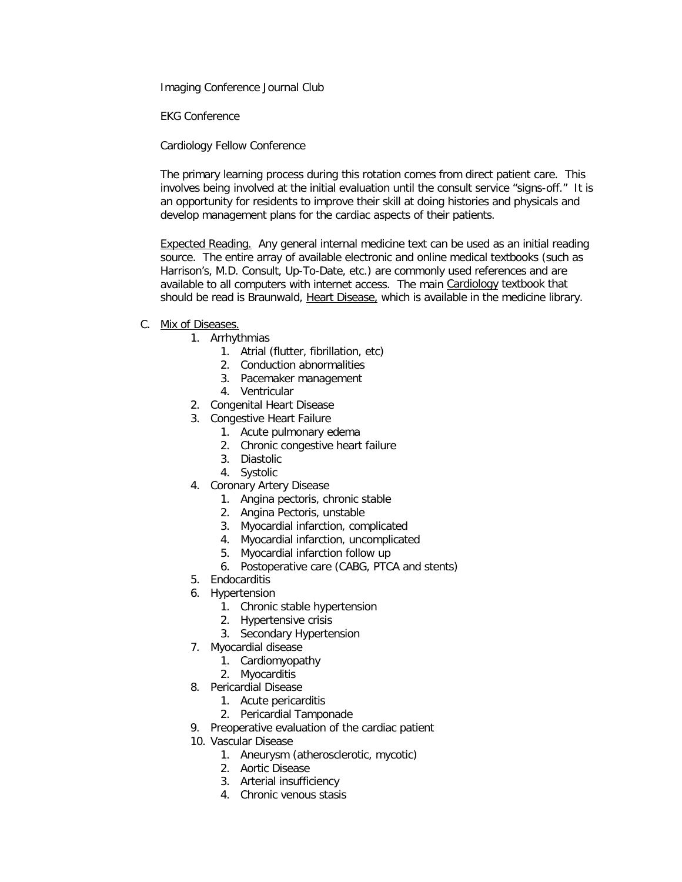Imaging Conference Journal Club

EKG Conference

Cardiology Fellow Conference

The primary learning process during this rotation comes from direct patient care. This involves being involved at the initial evaluation until the consult service "signs-off." It is an opportunity for residents to improve their skill at doing histories and physicals and develop management plans for the cardiac aspects of their patients.

Expected Reading. Any general internal medicine text can be used as an initial reading source. The entire array of available electronic and online medical textbooks (such as Harrison's, M.D. Consult, Up-To-Date, etc.) are commonly used references and are available to all computers with internet access. The main [Cardiology](http://www.upstate.edu/library/ebook/subjects.php#card) textbook that should be read is Braunwald, Heart Disease, which is available in the medicine library.

### C. Mix of Diseases.

- 1. Arrhythmias
	- 1. Atrial (flutter, fibrillation, etc)
	- 2. Conduction abnormalities
	- 3. Pacemaker management
	- 4. Ventricular
- 2. Congenital Heart Disease
- 3. Congestive Heart Failure
	- 1. Acute pulmonary edema
	- 2. Chronic congestive heart failure
	- 3. Diastolic
	- 4. Systolic
- 4. Coronary Artery Disease
	- 1. Angina pectoris, chronic stable
	- 2. Angina Pectoris, unstable
	- 3. Myocardial infarction, complicated
	- 4. Myocardial infarction, uncomplicated
	- 5. Myocardial infarction follow up
	- 6. Postoperative care (CABG, PTCA and stents)
- 5. Endocarditis
- 6. Hypertension
	- 1. Chronic stable hypertension
	- 2. Hypertensive crisis
	- 3. Secondary Hypertension
- 7. Myocardial disease
	- 1. Cardiomyopathy
	- 2. Myocarditis
- 8. Pericardial Disease
	- 1. Acute pericarditis
	- 2. Pericardial Tamponade
- 9. Preoperative evaluation of the cardiac patient
- 10. Vascular Disease
	- 1. Aneurysm (atherosclerotic, mycotic)
	- 2. Aortic Disease
	- 3. Arterial insufficiency
	- 4. Chronic venous stasis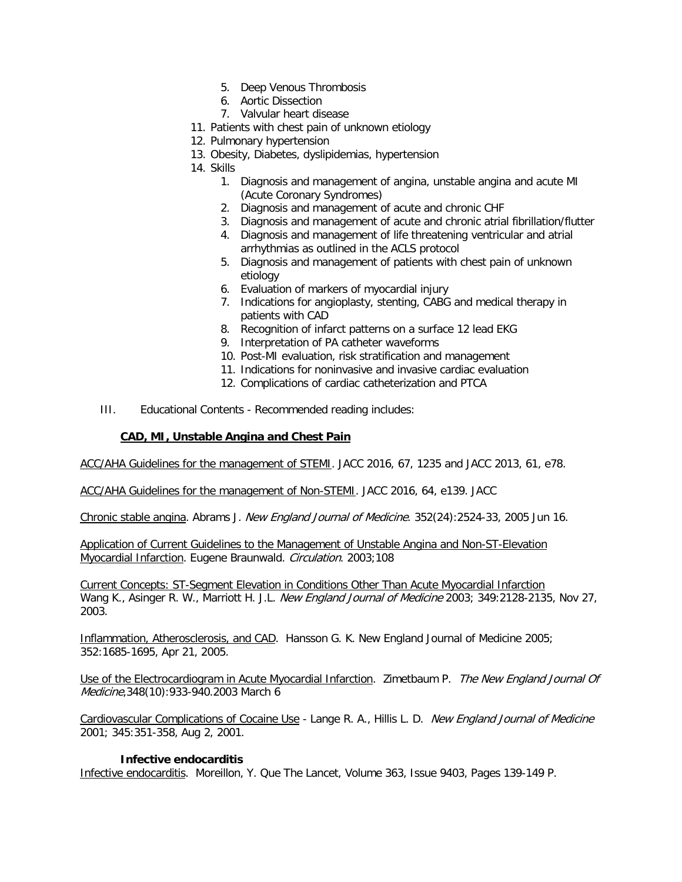- 5. Deep Venous Thrombosis
- 6. Aortic Dissection
- 7. Valvular heart disease
- 11. Patients with chest pain of unknown etiology
- 12. Pulmonary hypertension
- 13. Obesity, Diabetes, dyslipidemias, hypertension
- 14. Skills
	- 1. Diagnosis and management of angina, unstable angina and acute MI (Acute Coronary Syndromes)
	- 2. Diagnosis and management of acute and chronic CHF
	- 3. Diagnosis and management of acute and chronic atrial fibrillation/flutter
	- 4. Diagnosis and management of life threatening ventricular and atrial arrhythmias as outlined in the ACLS protocol
	- 5. Diagnosis and management of patients with chest pain of unknown etiology
	- 6. Evaluation of markers of myocardial injury
	- 7. Indications for angioplasty, stenting, CABG and medical therapy in patients with CAD
	- 8. Recognition of infarct patterns on a surface 12 lead EKG
	- 9. Interpretation of PA catheter waveforms
	- 10. Post-MI evaluation, risk stratification and management
	- 11. Indications for noninvasive and invasive cardiac evaluation
	- 12. Complications of cardiac catheterization and PTCA
- III. Educational Contents Recommended reading includes:

### **CAD, MI, Unstable Angina and Chest Pain**

ACC/AHA Guidelines for the management of STEMI. JACC 2016, 67, 1235 and JACC 2013, 61, e78.

ACC/AHA Guidelines for the management of Non-STEMI. JACC 2016, 64, e139. JACC

Chronic stable angina. Abrams J. New England Journal of Medicine. 352(24):2524-33, 2005 Jun 16.

Application of Current Guidelines to the Management of Unstable Angina and Non-ST-Elevation Myocardial Infarction. Eugene Braunwald. Circulation. 2003;108

[Current Concepts: ST-Segment Elevation in Conditions Other Than Acute Myocardial Infarction](http://content.nejm.org/cgi/content/short/349/22/2128) Wang K., Asinger R. W., Marriott H. J.L. New England Journal of Medicine 2003; 349:2128-2135, Nov 27, 2003.

Inflammation, Atherosclerosis, and CAD. Hansson G. K. New England Journal of Medicine 2005; 352:1685-1695, Apr 21, 2005.

Use of the Electrocardiogram in Acute Myocardial Infarction. Zimetbaum P. The New England Journal Of Medicine,348(10):933-940.2003 March 6

Cardiovascular Complications of Cocaine Use - Lange R. A., Hillis L. D. New England Journal of Medicine 2001; 345:351-358, Aug 2, 2001.

### **Infective endocarditis**

Infective endocarditis. Moreillon, Y. Que The Lancet, Volume 363, Issue 9403, Pages 139-149 P.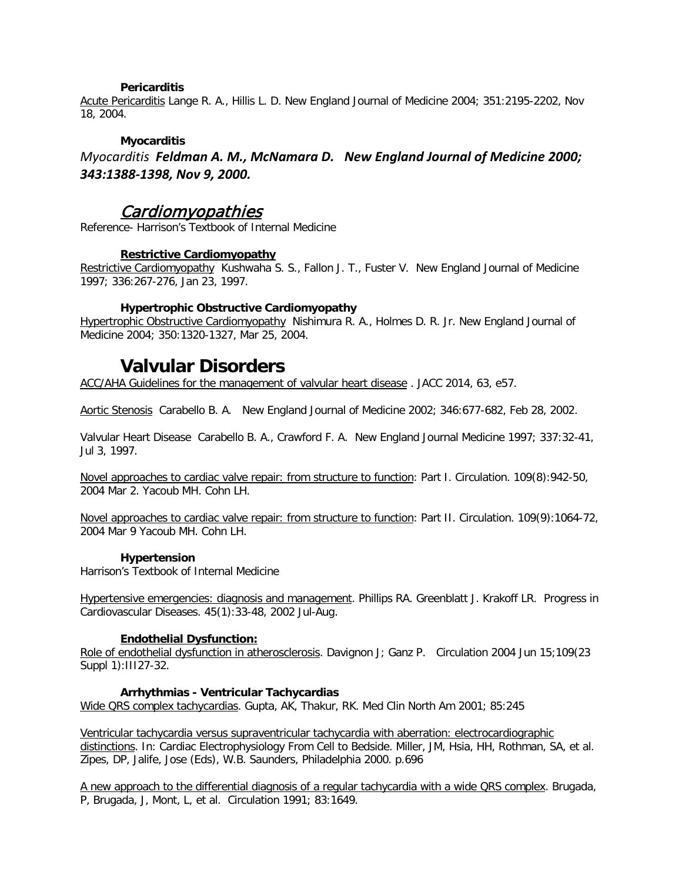### **Pericarditis**

Acute Pericarditis Lange R. A., Hillis L. D. New England Journal of Medicine 2004; 351:2195-2202, Nov 18, 2004.

### **Myocarditis**

*Myocarditis Feldman A. M., McNamara D. New England Journal of Medicine 2000; 343:1388-1398, Nov 9, 2000.* 

### Cardiomyopathies

Reference- Harrison's Textbook of Internal Medicine

### **Restrictive Cardiomyopathy**

Restrictive Cardiomyopathy Kushwaha S. S., Fallon J. T., Fuster V. New England Journal of Medicine 1997; 336:267-276, Jan 23, 1997.

### **Hypertrophic Obstructive Cardiomyopathy**

Hypertrophic Obstructive Cardiomyopathy Nishimura R. A., Holmes D. R. Jr. New England Journal of Medicine 2004; 350:1320-1327, Mar 25, 2004.

### **Valvular Disorders**

ACC/AHA Guidelines for the management of valvular heart disease . JACC 2014, 63, e57.

Aortic Stenosis Carabello B. A. New England Journal of Medicine 2002; 346:677-682, Feb 28, 2002.

Valvular Heart Disease Carabello B. A., Crawford F. A. New England Journal Medicine 1997; 337:32-41, Jul 3, 1997.

Novel approaches to cardiac valve repair: from structure to function: Part I. Circulation. 109(8):942-50, 2004 Mar 2. Yacoub MH. Cohn LH.

Novel approaches to cardiac valve repair: from structure to function: Part II. Circulation. 109(9):1064-72, 2004 Mar 9 Yacoub MH. Cohn LH.

### **Hypertension**

Harrison's Textbook of Internal Medicine

Hypertensive emergencies: diagnosis and management. Phillips RA. Greenblatt J. Krakoff LR. Progress in Cardiovascular Diseases. 45(1):33-48, 2002 Jul-Aug.

### **Endothelial Dysfunction:**

Role of endothelial dysfunction in atherosclerosis. Davignon J; Ganz P. Circulation 2004 Jun 15;109(23 Suppl 1):III27-32.

### **Arrhythmias - Ventricular Tachycardias**

Wide QRS complex tachycardias. Gupta, AK, Thakur, RK. Med Clin North Am 2001; 85:245

Ventricular tachycardia versus supraventricular tachycardia with aberration: electrocardiographic distinctions. In: Cardiac Electrophysiology From Cell to Bedside. Miller, JM, Hsia, HH, Rothman, SA, et al. Zipes, DP, Jalife, Jose (Eds), W.B. Saunders, Philadelphia 2000. p.696

A new approach to the differential diagnosis of a regular tachycardia with a wide QRS complex. Brugada, P, Brugada, J, Mont, L, et al. Circulation 1991; 83:1649.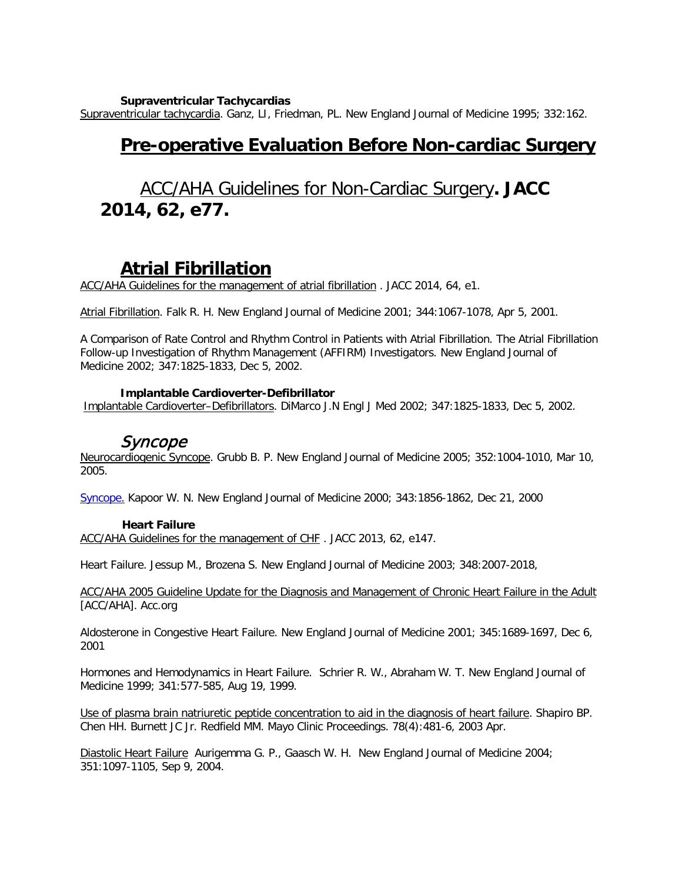**Supraventricular Tachycardias**

Supraventricular tachycardia. Ganz, LI, Friedman, PL. New England Journal of Medicine 1995; 332:162.

## **Pre-operative Evaluation Before Non-cardiac Surgery**

# ACC/AHA Guidelines for Non-Cardiac Surgery**. JACC 2014, 62, e77.**

## **Atrial Fibrillation**

ACC/AHA Guidelines for the management of atrial fibrillation . JACC 2014, 64, e1.

Atrial Fibrillation. Falk R. H. New England Journal of Medicine 2001; 344:1067-1078, Apr 5, 2001.

A Comparison of Rate Control and Rhythm Control in Patients with Atrial Fibrillation. The Atrial Fibrillation Follow-up Investigation of Rhythm Management (AFFIRM) Investigators. New England Journal of Medicine 2002; 347:1825-1833, Dec 5, 2002.

### **Implantable Cardioverter-Defibrillator**

Implantable Cardioverter–Defibrillators. DiMarco J.N Engl J Med 2002; 347:1825-1833, Dec 5, 2002.

### Syncope

Neurocardiogenic Syncope. Grubb B. P. New England Journal of Medicine 2005; 352:1004-1010, Mar 10, 2005.

[Syncope.](http://content.nejm.org/cgi/content/short/343/25/1856) Kapoor W. N. New England Journal of Medicine 2000; 343:1856-1862, Dec 21, 2000

### **Heart Failure**

ACC/AHA Guidelines for the management of CHF . JACC 2013, 62, e147.

Heart Failure. Jessup M., Brozena S. New England Journal of Medicine 2003; 348:2007-2018,

ACC/AHA 2005 Guideline Update for the Diagnosis and Management of Chronic Heart Failure in the Adult [ACC/AHA]. Acc.org

Aldosterone in Congestive Heart Failure. New England Journal of Medicine 2001; 345:1689-1697, Dec 6, 2001

Hormones and Hemodynamics in Heart Failure. Schrier R. W., Abraham W. T. New England Journal of Medicine 1999; 341:577-585, Aug 19, 1999.

Use of plasma brain natriuretic peptide concentration to aid in the diagnosis of heart failure. Shapiro BP. Chen HH. Burnett JC Jr. Redfield MM. Mayo Clinic Proceedings. 78(4):481-6, 2003 Apr.

Diastolic Heart Failure Aurigemma G. P., Gaasch W. H. New England Journal of Medicine 2004; 351:1097-1105, Sep 9, 2004.